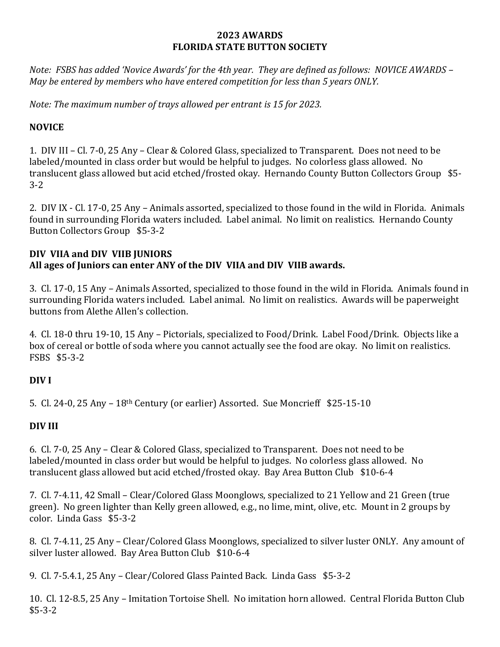#### **2023 AWARDS FLORIDA STATE BUTTON SOCIETY**

*Note: FSBS has added 'Novice Awards' for the 4th year. They are defined as follows: NOVICE AWARDS – May be entered by members who have entered competition for less than 5 years ONLY.*

*Note: The maximum number of trays allowed per entrant is 15 for 2023.*

### **NOVICE**

1. DIV III – Cl. 7-0, 25 Any – Clear & Colored Glass, specialized to Transparent. Does not need to be labeled/mounted in class order but would be helpful to judges. No colorless glass allowed. No translucent glass allowed but acid etched/frosted okay. Hernando County Button Collectors Group \$5- 3-2

2. DIV IX - Cl. 17-0, 25 Any – Animals assorted, specialized to those found in the wild in Florida. Animals found in surrounding Florida waters included. Label animal. No limit on realistics. Hernando County Button Collectors Group \$5-3-2

### **DIV VIIA and DIV VIIB JUNIORS All ages of Juniors can enter ANY of the DIV VIIA and DIV VIIB awards.**

3. Cl. 17-0, 15 Any – Animals Assorted, specialized to those found in the wild in Florida. Animals found in surrounding Florida waters included. Label animal. No limit on realistics. Awards will be paperweight buttons from Alethe Allen's collection.

4. Cl. 18-0 thru 19-10, 15 Any – Pictorials, specialized to Food/Drink. Label Food/Drink. Objects like a box of cereal or bottle of soda where you cannot actually see the food are okay. No limit on realistics. FSBS \$5-3-2

# **DIV I**

5. Cl. 24-0, 25 Any – 18th Century (or earlier) Assorted. Sue Moncrieff \$25-15-10

# **DIV III**

6. Cl. 7-0, 25 Any – Clear & Colored Glass, specialized to Transparent. Does not need to be labeled/mounted in class order but would be helpful to judges. No colorless glass allowed. No translucent glass allowed but acid etched/frosted okay. Bay Area Button Club \$10-6-4

7. Cl. 7-4.11, 42 Small – Clear/Colored Glass Moonglows, specialized to 21 Yellow and 21 Green (true green). No green lighter than Kelly green allowed, e.g., no lime, mint, olive, etc. Mount in 2 groups by color. Linda Gass \$5-3-2

8. Cl. 7-4.11, 25 Any – Clear/Colored Glass Moonglows, specialized to silver luster ONLY. Any amount of silver luster allowed. Bay Area Button Club \$10-6-4

9. Cl. 7-5.4.1, 25 Any – Clear/Colored Glass Painted Back. Linda Gass \$5-3-2

10. Cl. 12-8.5, 25 Any – Imitation Tortoise Shell. No imitation horn allowed. Central Florida Button Club \$5-3-2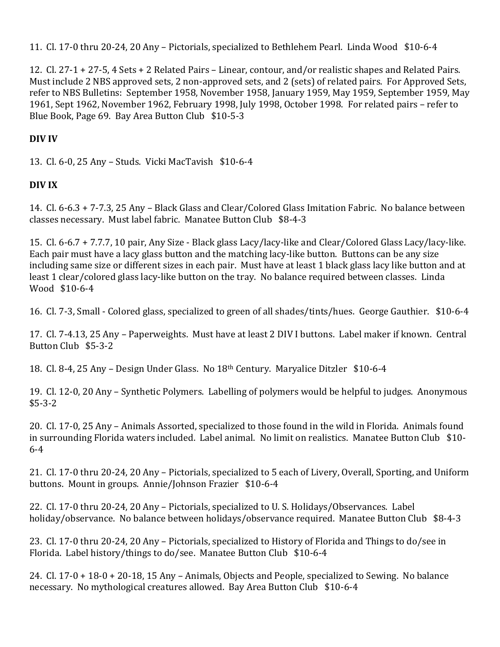11. Cl. 17-0 thru 20-24, 20 Any – Pictorials, specialized to Bethlehem Pearl. Linda Wood \$10-6-4

12. Cl. 27-1 + 27-5, 4 Sets + 2 Related Pairs – Linear, contour, and/or realistic shapes and Related Pairs. Must include 2 NBS approved sets, 2 non-approved sets, and 2 (sets) of related pairs. For Approved Sets, refer to NBS Bulletins: September 1958, November 1958, January 1959, May 1959, September 1959, May 1961, Sept 1962, November 1962, February 1998, July 1998, October 1998. For related pairs – refer to Blue Book, Page 69. Bay Area Button Club \$10-5-3

### **DIV IV**

13. Cl. 6-0, 25 Any – Studs. Vicki MacTavish \$10-6-4

### **DIV IX**

14. Cl. 6-6.3 + 7-7.3, 25 Any – Black Glass and Clear/Colored Glass Imitation Fabric. No balance between classes necessary. Must label fabric. Manatee Button Club \$8-4-3

15. Cl. 6-6.7 + 7.7.7, 10 pair, Any Size - Black glass Lacy/lacy-like and Clear/Colored Glass Lacy/lacy-like. Each pair must have a lacy glass button and the matching lacy-like button. Buttons can be any size including same size or different sizes in each pair. Must have at least 1 black glass lacy like button and at least 1 clear/colored glass lacy-like button on the tray. No balance required between classes. Linda Wood \$10-6-4

16. Cl. 7-3, Small - Colored glass, specialized to green of all shades/tints/hues. George Gauthier. \$10-6-4

17. Cl. 7-4.13, 25 Any – Paperweights. Must have at least 2 DIV I buttons. Label maker if known. Central Button Club \$5-3-2

18. Cl. 8-4, 25 Any – Design Under Glass. No 18th Century. Maryalice Ditzler \$10-6-4

19. Cl. 12-0, 20 Any – Synthetic Polymers. Labelling of polymers would be helpful to judges. Anonymous \$5-3-2

20. Cl. 17-0, 25 Any – Animals Assorted, specialized to those found in the wild in Florida. Animals found in surrounding Florida waters included. Label animal. No limit on realistics. Manatee Button Club \$10- 6-4

21. Cl. 17-0 thru 20-24, 20 Any – Pictorials, specialized to 5 each of Livery, Overall, Sporting, and Uniform buttons. Mount in groups. Annie/Johnson Frazier \$10-6-4

22. Cl. 17-0 thru 20-24, 20 Any – Pictorials, specialized to U. S. Holidays/Observances. Label holiday/observance. No balance between holidays/observance required. Manatee Button Club \$8-4-3

23. Cl. 17-0 thru 20-24, 20 Any – Pictorials, specialized to History of Florida and Things to do/see in Florida. Label history/things to do/see. Manatee Button Club \$10-6-4

24. Cl. 17-0 + 18-0 + 20-18, 15 Any – Animals, Objects and People, specialized to Sewing. No balance necessary. No mythological creatures allowed. Bay Area Button Club \$10-6-4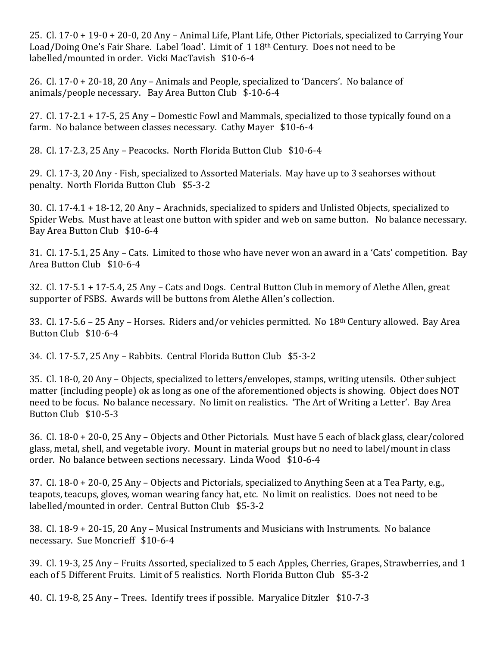25. Cl. 17-0 + 19-0 + 20-0, 20 Any – Animal Life, Plant Life, Other Pictorials, specialized to Carrying Your Load/Doing One's Fair Share. Label 'load'. Limit of 1 18<sup>th</sup> Century. Does not need to be labelled/mounted in order. Vicki MacTavish \$10-6-4

26. Cl. 17-0 + 20-18, 20 Any – Animals and People, specialized to 'Dancers'. No balance of animals/people necessary. Bay Area Button Club \$-10-6-4

27. Cl. 17-2.1 + 17-5, 25 Any – Domestic Fowl and Mammals, specialized to those typically found on a farm. No balance between classes necessary. Cathy Mayer \$10-6-4

28. Cl. 17-2.3, 25 Any – Peacocks. North Florida Button Club \$10-6-4

29. Cl. 17-3, 20 Any - Fish, specialized to Assorted Materials. May have up to 3 seahorses without penalty. North Florida Button Club \$5-3-2

30. Cl. 17-4.1 + 18-12, 20 Any – Arachnids, specialized to spiders and Unlisted Objects, specialized to Spider Webs. Must have at least one button with spider and web on same button. No balance necessary. Bay Area Button Club \$10-6-4

31. Cl. 17-5.1, 25 Any – Cats. Limited to those who have never won an award in a 'Cats' competition. Bay Area Button Club \$10-6-4

32. Cl. 17-5.1 + 17-5.4, 25 Any – Cats and Dogs. Central Button Club in memory of Alethe Allen, great supporter of FSBS. Awards will be buttons from Alethe Allen's collection.

33. Cl. 17-5.6 – 25 Any – Horses. Riders and/or vehicles permitted. No 18th Century allowed. Bay Area Button Club \$10-6-4

34. Cl. 17-5.7, 25 Any – Rabbits. Central Florida Button Club \$5-3-2

35. Cl. 18-0, 20 Any – Objects, specialized to letters/envelopes, stamps, writing utensils. Other subject matter (including people) ok as long as one of the aforementioned objects is showing. Object does NOT need to be focus. No balance necessary. No limit on realistics. 'The Art of Writing a Letter'. Bay Area Button Club \$10-5-3

36. Cl. 18-0 + 20-0, 25 Any – Objects and Other Pictorials. Must have 5 each of black glass, clear/colored glass, metal, shell, and vegetable ivory. Mount in material groups but no need to label/mount in class order. No balance between sections necessary. Linda Wood \$10-6-4

37. Cl. 18-0 + 20-0, 25 Any – Objects and Pictorials, specialized to Anything Seen at a Tea Party, e.g., teapots, teacups, gloves, woman wearing fancy hat, etc. No limit on realistics. Does not need to be labelled/mounted in order. Central Button Club \$5-3-2

38. Cl. 18-9 + 20-15, 20 Any – Musical Instruments and Musicians with Instruments. No balance necessary. Sue Moncrieff \$10-6-4

39. Cl. 19-3, 25 Any – Fruits Assorted, specialized to 5 each Apples, Cherries, Grapes, Strawberries, and 1 each of 5 Different Fruits. Limit of 5 realistics. North Florida Button Club \$5-3-2

40. Cl. 19-8, 25 Any – Trees. Identify trees if possible. Maryalice Ditzler \$10-7-3